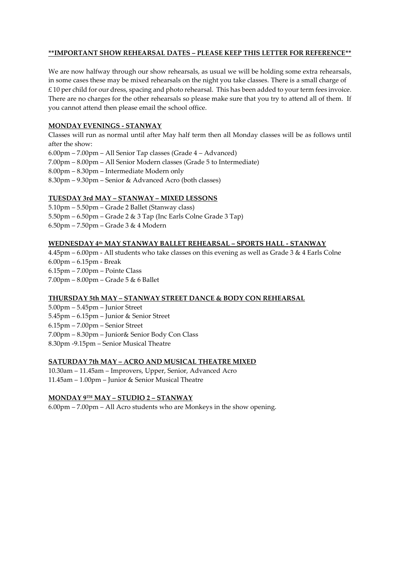# **\*\*IMPORTANT SHOW REHEARSAL DATES – PLEASE KEEP THIS LETTER FOR REFERENCE\*\***

We are now halfway through our show rehearsals, as usual we will be holding some extra rehearsals, in some cases these may be mixed rehearsals on the night you take classes. There is a small charge of  $£$  10 per child for our dress, spacing and photo rehearsal. This has been added to your term fees invoice. There are no charges for the other rehearsals so please make sure that you try to attend all of them. If you cannot attend then please email the school office.

# **MONDAY EVENINGS - STANWAY**

Classes will run as normal until after May half term then all Monday classes will be as follows until after the show: 6.00pm – 7.00pm – All Senior Tap classes (Grade 4 – Advanced) 7.00pm – 8.00pm – All Senior Modern classes (Grade 5 to Intermediate) 8.00pm – 8.30pm – Intermediate Modern only 8.30pm – 9.30pm – Senior & Advanced Acro (both classes)

## **TUESDAY 3rd MAY – STANWAY – MIXED LESSONS**

5.10pm – 5.50pm – Grade 2 Ballet (Stanway class) 5.50pm – 6.50pm – Grade 2 & 3 Tap (Inc Earls Colne Grade 3 Tap) 6.50pm – 7.50pm – Grade 3 & 4 Modern

# **WEDNESDAY 4 th MAY STANWAY BALLET REHEARSAL – SPORTS HALL - STANWAY**

4.45pm – 6.00pm - All students who take classes on this evening as well as Grade 3 & 4 Earls Colne 6.00pm – 6.15pm - Break 6.15pm – 7.00pm – Pointe Class 7.00pm – 8.00pm – Grade 5 & 6 Ballet

# **THURSDAY 5th MAY – STANWAY STREET DANCE & BODY CON REHEARSAL**

5.00pm – 5.45pm – Junior Street 5.45pm – 6.15pm – Junior & Senior Street 6.15pm – 7.00pm – Senior Street 7.00pm – 8.30pm – Junior& Senior Body Con Class 8.30pm -9.15pm – Senior Musical Theatre

## **SATURDAY 7th MAY – ACRO AND MUSICAL THEATRE MIXED**

10.30am – 11.45am – Improvers, Upper, Senior, Advanced Acro 11.45am – 1.00pm – Junior & Senior Musical Theatre

#### **MONDAY 9TH MAY – STUDIO 2 – STANWAY**

6.00pm – 7.00pm – All Acro students who are Monkeys in the show opening.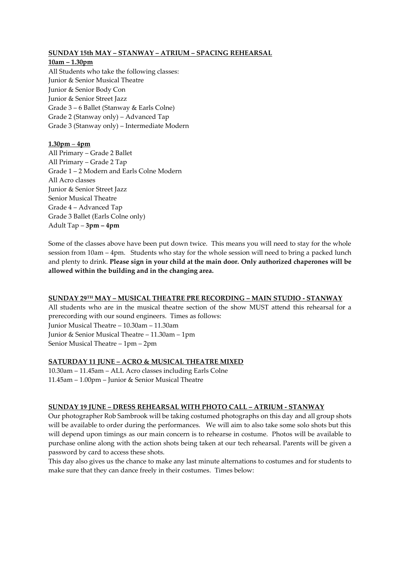# **SUNDAY 15th MAY – STANWAY – ATRIUM – SPACING REHEARSAL**

# **10am – 1.30pm**

All Students who take the following classes: Junior & Senior Musical Theatre Junior & Senior Body Con Junior & Senior Street Jazz Grade 3 – 6 Ballet (Stanway & Earls Colne) Grade 2 (Stanway only) – Advanced Tap Grade 3 (Stanway only) – Intermediate Modern

# **1.30pm** – **4pm**

All Primary – Grade 2 Ballet All Primary – Grade 2 Tap Grade 1 – 2 Modern and Earls Colne Modern All Acro classes Junior & Senior Street Jazz Senior Musical Theatre Grade 4 – Advanced Tap Grade 3 Ballet (Earls Colne only) Adult Tap – **3pm – 4pm**

Some of the classes above have been put down twice. This means you will need to stay for the whole session from 10am – 4pm. Students who stay for the whole session will need to bring a packed lunch and plenty to drink. **Please sign in your child at the main door. Only authorized chaperones will be allowed within the building and in the changing area.**

#### **SUNDAY 29TH MAY – MUSICAL THEATRE PRE RECORDING – MAIN STUDIO - STANWAY**

All students who are in the musical theatre section of the show MUST attend this rehearsal for a prerecording with our sound engineers. Times as follows: Junior Musical Theatre – 10.30am – 11.30am Junior & Senior Musical Theatre – 11.30am – 1pm Senior Musical Theatre – 1pm – 2pm

# **SATURDAY 11 JUNE – ACRO & MUSICAL THEATRE MIXED**

10.30am – 11.45am – ALL Acro classes including Earls Colne 11.45am – 1.00pm – Junior & Senior Musical Theatre

# **SUNDAY 19 JUNE – DRESS REHEARSAL WITH PHOTO CALL – ATRIUM - STANWAY**

Our photographer Rob Sambrook will be taking costumed photographs on this day and all group shots will be available to order during the performances. We will aim to also take some solo shots but this will depend upon timings as our main concern is to rehearse in costume. Photos will be available to purchase online along with the action shots being taken at our tech rehearsal. Parents will be given a password by card to access these shots.

This day also gives us the chance to make any last minute alternations to costumes and for students to make sure that they can dance freely in their costumes. Times below: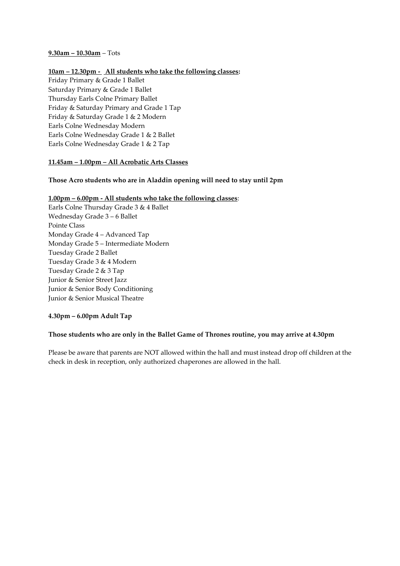## **9.30am – 10.30am** – Tots

# **10am – 12.30pm - All students who take the following classes:**

Friday Primary & Grade 1 Ballet Saturday Primary & Grade 1 Ballet Thursday Earls Colne Primary Ballet Friday & Saturday Primary and Grade 1 Tap Friday & Saturday Grade 1 & 2 Modern Earls Colne Wednesday Modern Earls Colne Wednesday Grade 1 & 2 Ballet Earls Colne Wednesday Grade 1 & 2 Tap

## **11.45am – 1.00pm – All Acrobatic Arts Classes**

# **Those Acro students who are in Aladdin opening will need to stay until 2pm**

#### **1.00pm – 6.00pm - All students who take the following classes**:

Earls Colne Thursday Grade 3 & 4 Ballet Wednesday Grade 3 – 6 Ballet Pointe Class Monday Grade 4 – Advanced Tap Monday Grade 5 – Intermediate Modern Tuesday Grade 2 Ballet Tuesday Grade 3 & 4 Modern Tuesday Grade 2 & 3 Tap Junior & Senior Street Jazz Junior & Senior Body Conditioning Junior & Senior Musical Theatre

#### **4.30pm – 6.00pm Adult Tap**

# **Those students who are only in the Ballet Game of Thrones routine, you may arrive at 4.30pm**

Please be aware that parents are NOT allowed within the hall and must instead drop off children at the check in desk in reception, only authorized chaperones are allowed in the hall.